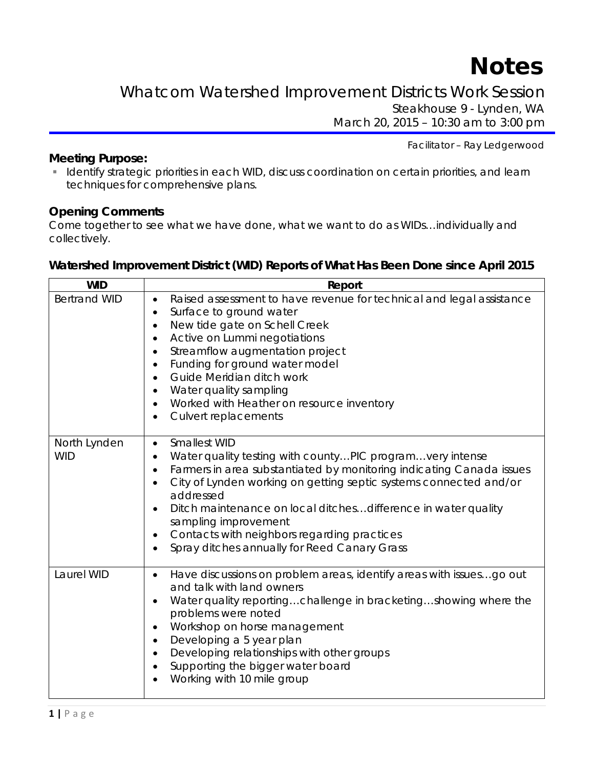# **Notes**

Whatcom Watershed Improvement Districts Work Session Steakhouse 9 - Lynden, WA

March 20, 2015 – 10:30 am to 3:00 pm

Facilitator – Ray Ledgerwood

#### **Meeting Purpose:**

**Interative Strategic priorities in each WID, discuss coordination on certain priorities, and learn** techniques for comprehensive plans.

#### **Opening Comments**

Come together to see what we have done, what we want to do as WIDs…individually and collectively.

#### **Watershed Improvement District (WID) Reports of What Has Been Done since April 2015**

| <b>WID</b>                 | Report                                                                                                                                                                                                                                                                                                                                                                                                                                                                                                                 |
|----------------------------|------------------------------------------------------------------------------------------------------------------------------------------------------------------------------------------------------------------------------------------------------------------------------------------------------------------------------------------------------------------------------------------------------------------------------------------------------------------------------------------------------------------------|
| <b>Bertrand WID</b>        | Raised assessment to have revenue for technical and legal assistance<br>$\bullet$<br>Surface to ground water<br>$\bullet$<br>New tide gate on Schell Creek<br>$\bullet$<br>Active on Lummi negotiations<br>$\bullet$<br>Streamflow augmentation project<br>$\bullet$<br>Funding for ground water model<br>$\bullet$<br>Guide Meridian ditch work<br>$\bullet$<br>Water quality sampling<br>$\bullet$<br>Worked with Heather on resource inventory<br>$\bullet$<br>Culvert replacements<br>$\bullet$                    |
| North Lynden<br><b>WID</b> | Smallest WID<br>$\bullet$<br>Water quality testing with countyPIC programvery intense<br>$\bullet$<br>Farmers in area substantiated by monitoring indicating Canada issues<br>$\bullet$<br>City of Lynden working on getting septic systems connected and/or<br>$\bullet$<br>addressed<br>Ditch maintenance on local ditches difference in water quality<br>$\bullet$<br>sampling improvement<br>Contacts with neighbors regarding practices<br>$\bullet$<br>Spray ditches annually for Reed Canary Grass<br>$\bullet$ |
| Laurel WID                 | Have discussions on problem areas, identify areas with issuesgo out<br>$\bullet$<br>and talk with land owners<br>Water quality reportingchallenge in bracketingshowing where the<br>$\bullet$<br>problems were noted<br>Workshop on horse management<br>$\bullet$<br>Developing a 5 year plan<br>$\bullet$<br>Developing relationships with other groups<br>$\bullet$<br>Supporting the bigger water board<br>Working with 10 mile group                                                                               |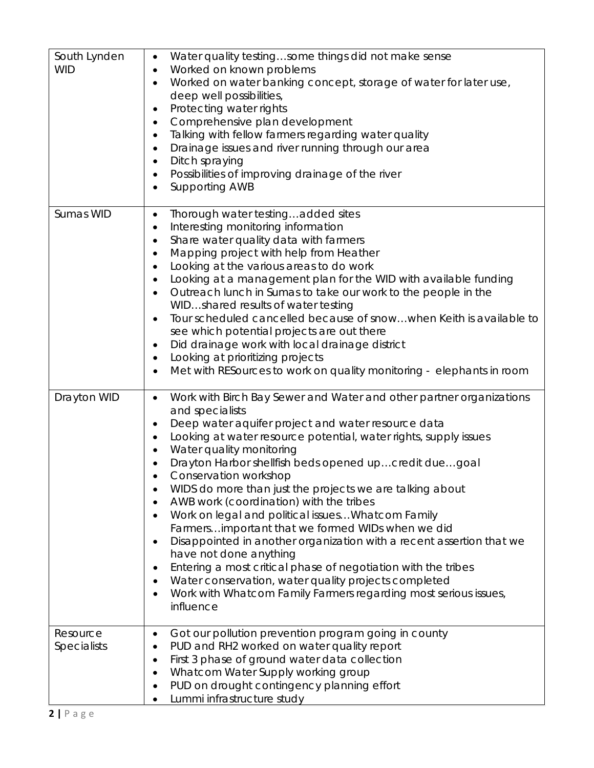| South Lynden<br><b>WID</b> | Water quality testingsome things did not make sense<br>$\bullet$<br>Worked on known problems<br>$\bullet$<br>Worked on water banking concept, storage of water for later use,<br>$\bullet$<br>deep well possibilities,<br>Protecting water rights<br>$\bullet$<br>Comprehensive plan development<br>$\bullet$<br>Talking with fellow farmers regarding water quality<br>$\bullet$<br>Drainage issues and river running through our area<br>$\bullet$<br>Ditch spraying<br>$\bullet$<br>Possibilities of improving drainage of the river<br>$\bullet$<br>Supporting AWB<br>$\bullet$                                                                                                                                                                                                                                                                                                                                |
|----------------------------|--------------------------------------------------------------------------------------------------------------------------------------------------------------------------------------------------------------------------------------------------------------------------------------------------------------------------------------------------------------------------------------------------------------------------------------------------------------------------------------------------------------------------------------------------------------------------------------------------------------------------------------------------------------------------------------------------------------------------------------------------------------------------------------------------------------------------------------------------------------------------------------------------------------------|
| Sumas WID                  | Thorough water testingadded sites<br>$\bullet$<br>Interesting monitoring information<br>$\bullet$<br>Share water quality data with farmers<br>٠<br>Mapping project with help from Heather<br>٠<br>Looking at the various areas to do work<br>$\bullet$<br>Looking at a management plan for the WID with available funding<br>$\bullet$<br>Outreach lunch in Sumas to take our work to the people in the<br>$\bullet$<br>WIDshared results of water testing<br>Tour scheduled cancelled because of snowwhen Keith is available to<br>$\bullet$<br>see which potential projects are out there<br>Did drainage work with local drainage district<br>٠<br>Looking at prioritizing projects<br>$\bullet$<br>Met with RESources to work on quality monitoring - elephants in room<br>$\bullet$                                                                                                                           |
| Drayton WID                | Work with Birch Bay Sewer and Water and other partner organizations<br>٠<br>and specialists<br>Deep water aquifer project and water resource data<br>$\bullet$<br>Looking at water resource potential, water rights, supply issues<br>$\bullet$<br>Water quality monitoring<br>Drayton Harbor shellfish beds opened upcredit duegoal<br>Conservation workshop<br>$\bullet$<br>WIDS do more than just the projects we are talking about<br>AWB work (coordination) with the tribes<br>Work on legal and political issues Whatcom Family<br>Farmersimportant that we formed WIDs when we did<br>Disappointed in another organization with a recent assertion that we<br>have not done anything<br>Entering a most critical phase of negotiation with the tribes<br>Water conservation, water quality projects completed<br>$\bullet$<br>Work with Whatcom Family Farmers regarding most serious issues,<br>influence |
| Resource<br>Specialists    | Got our pollution prevention program going in county<br>٠<br>PUD and RH2 worked on water quality report<br>$\bullet$<br>First 3 phase of ground water data collection<br>$\bullet$<br>Whatcom Water Supply working group<br>PUD on drought contingency planning effort<br>$\bullet$<br>Lummi infrastructure study                                                                                                                                                                                                                                                                                                                                                                                                                                                                                                                                                                                                  |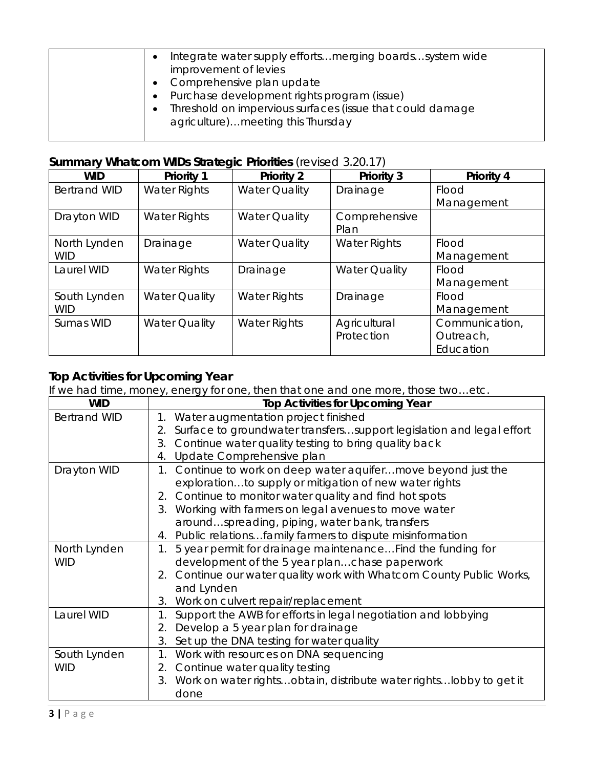| Integrate water supply efforts merging boardssystem wide<br>$\bullet$<br>improvement of levies<br>• Comprehensive plan update<br>• Purchase development rights program (issue)<br>Threshold on impervious surfaces (issue that could damage<br>$\bullet$<br>agriculture)meeting this Thursday |
|-----------------------------------------------------------------------------------------------------------------------------------------------------------------------------------------------------------------------------------------------------------------------------------------------|
|-----------------------------------------------------------------------------------------------------------------------------------------------------------------------------------------------------------------------------------------------------------------------------------------------|

## **Summary Whatcom WIDs Strategic Priorities** (revised 3.20.17)

| <b>WID</b>          | <b>Priority 1</b>    | <b>Priority 2</b>    | <b>Priority 3</b>    | <b>Priority 4</b> |
|---------------------|----------------------|----------------------|----------------------|-------------------|
| <b>Bertrand WID</b> | Water Rights         | <b>Water Quality</b> | Drainage             | Flood             |
|                     |                      |                      |                      | Management        |
| Drayton WID         | Water Rights         | <b>Water Quality</b> | Comprehensive        |                   |
|                     |                      |                      | Plan                 |                   |
| North Lynden        | Drainage             | <b>Water Quality</b> | <b>Water Rights</b>  | Flood             |
| <b>WID</b>          |                      |                      |                      | Management        |
| Laurel WID          | <b>Water Rights</b>  | Drainage             | <b>Water Quality</b> | Flood             |
|                     |                      |                      |                      | Management        |
| South Lynden        | <b>Water Quality</b> | <b>Water Rights</b>  | Drainage             | Flood             |
| <b>WID</b>          |                      |                      |                      | Management        |
| Sumas WID           | <b>Water Quality</b> | <b>Water Rights</b>  | Agricultural         | Communication,    |
|                     |                      |                      | Protection           | Outreach,         |
|                     |                      |                      |                      | Education         |

## **Top Activities for Upcoming Year**

If we had time, money, energy for one, then that one and one more, those two…etc.

| <b>WID</b>          | <b>Top Activities for Upcoming Year</b>                                    |
|---------------------|----------------------------------------------------------------------------|
| <b>Bertrand WID</b> | 1. Water augmentation project finished                                     |
|                     | Surface to groundwater transferssupport legislation and legal effort<br>2. |
|                     | Continue water quality testing to bring quality back<br>3.                 |
|                     | Update Comprehensive plan<br>4.                                            |
| Drayton WID         | 1. Continue to work on deep water aquifer move beyond just the             |
|                     | explorationto supply or mitigation of new water rights                     |
|                     | 2. Continue to monitor water quality and find hot spots                    |
|                     | 3. Working with farmers on legal avenues to move water                     |
|                     | aroundspreading, piping, water bank, transfers                             |
|                     | 4. Public relationsfamily farmers to dispute misinformation                |
| North Lynden        | 5 year permit for drainage maintenance Find the funding for<br>1.          |
| <b>WID</b>          | development of the 5 year planchase paperwork                              |
|                     | 2. Continue our water quality work with Whatcom County Public Works,       |
|                     | and Lynden                                                                 |
|                     | 3. Work on culvert repair/replacement                                      |
| Laurel WID          | Support the AWB for efforts in legal negotiation and lobbying<br>1.        |
|                     | Develop a 5 year plan for drainage<br>2.                                   |
|                     | Set up the DNA testing for water quality<br>3.                             |
| South Lynden        | Work with resources on DNA sequencing<br>1.                                |
| <b>WID</b>          | 2. Continue water quality testing                                          |
|                     | 3. Work on water rightsobtain, distribute water rights lobby to get it     |
|                     | done                                                                       |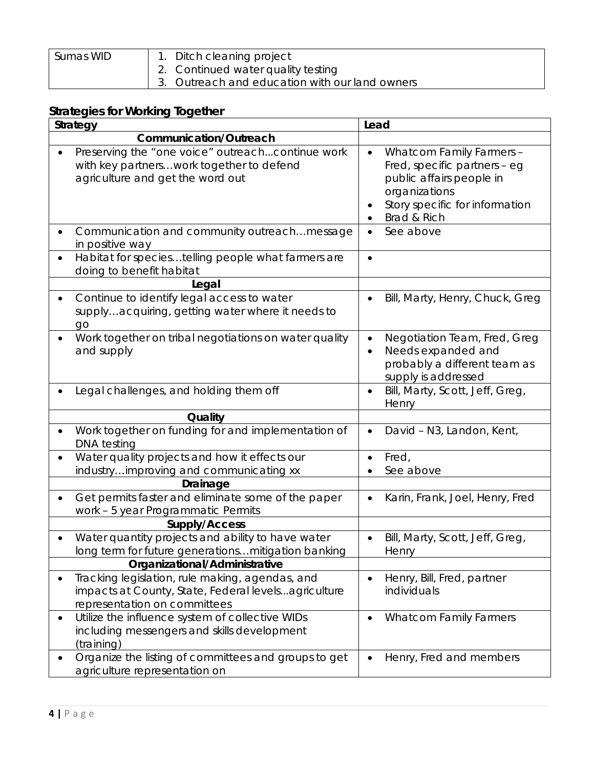| Sumas WID<br>1. Ditch cleaning project<br>2. Continued water quality testing<br>3. Outreach and education with our land owners |  |
|--------------------------------------------------------------------------------------------------------------------------------|--|
|--------------------------------------------------------------------------------------------------------------------------------|--|

## **Strategies for Working Together**

| Strategy                                                                                                                               | Lead                                                                                                                                                   |  |
|----------------------------------------------------------------------------------------------------------------------------------------|--------------------------------------------------------------------------------------------------------------------------------------------------------|--|
| <b>Communication/Outreach</b>                                                                                                          |                                                                                                                                                        |  |
| Preserving the "one voice" outreachcontinue work<br>with key partnerswork together to defend<br>agriculture and get the word out       | Whatcom Family Farmers -<br>Fred, specific partners - eg<br>public affairs people in<br>organizations<br>Story specific for information<br>Brad & Rich |  |
| Communication and community outreach message<br>in positive way                                                                        | See above                                                                                                                                              |  |
| Habitat for speciestelling people what farmers are<br>doing to benefit habitat                                                         |                                                                                                                                                        |  |
| Legal                                                                                                                                  |                                                                                                                                                        |  |
| Continue to identify legal access to water<br>supplyacquiring, getting water where it needs to<br>go                                   | Bill, Marty, Henry, Chuck, Greg                                                                                                                        |  |
| Work together on tribal negotiations on water quality<br>and supply                                                                    | Negotiation Team, Fred, Greg<br>Needs expanded and<br>probably a different team as<br>supply is addressed                                              |  |
| Legal challenges, and holding them off                                                                                                 | Bill, Marty, Scott, Jeff, Greg,<br>Henry                                                                                                               |  |
| Quality                                                                                                                                |                                                                                                                                                        |  |
| Work together on funding for and implementation of<br><b>DNA</b> testing                                                               | David - N3, Landon, Kent,                                                                                                                              |  |
| Water quality projects and how it effects our                                                                                          | Fred,                                                                                                                                                  |  |
| industryimproving and communicating xx                                                                                                 | See above                                                                                                                                              |  |
| Drainage                                                                                                                               |                                                                                                                                                        |  |
| Get permits faster and eliminate some of the paper<br>work - 5 year Programmatic Permits                                               | Karin, Frank, Joel, Henry, Fred                                                                                                                        |  |
| Supply/Access                                                                                                                          |                                                                                                                                                        |  |
| Water quantity projects and ability to have water<br>long term for future generations mitigation banking                               | Bill, Marty, Scott, Jeff, Greg,<br>Henry                                                                                                               |  |
| Organizational/Administrative                                                                                                          |                                                                                                                                                        |  |
| Tracking legislation, rule making, agendas, and<br>impacts at County, State, Federal levelsagriculture<br>representation on committees | Henry, Bill, Fred, partner<br>individuals                                                                                                              |  |
| Utilize the influence system of collective WIDs<br>including messengers and skills development<br>(training)                           | <b>Whatcom Family Farmers</b>                                                                                                                          |  |
| Organize the listing of committees and groups to get<br>agriculture representation on                                                  | Henry, Fred and members                                                                                                                                |  |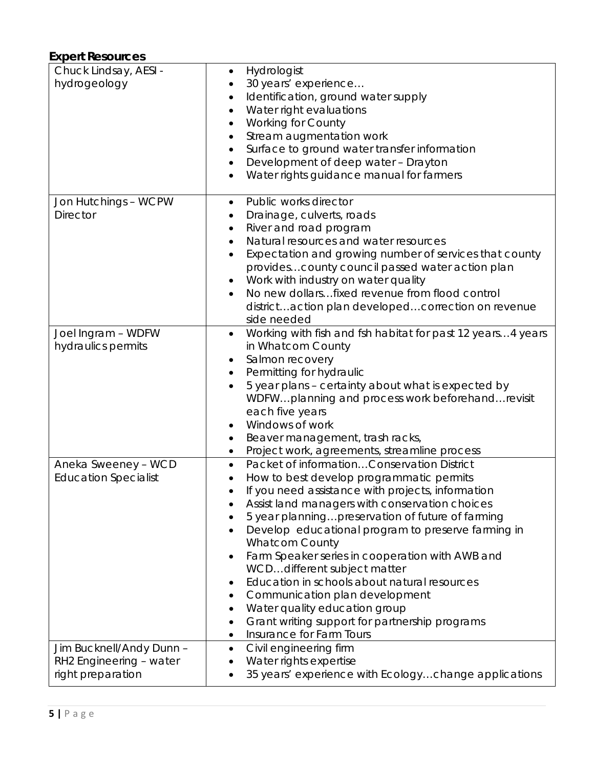### **Expert Resources**

| Chuck Lindsay, AESI -<br>hydrogeology                                    | Hydrologist<br>٠<br>30 years' experience<br>Identification, ground water supply<br>$\bullet$<br>Water right evaluations<br>$\bullet$<br><b>Working for County</b><br>$\bullet$<br>Stream augmentation work<br>٠<br>Surface to ground water transfer information<br>$\bullet$<br>Development of deep water - Drayton<br>$\bullet$<br>Water rights guidance manual for farmers                                                                                                                                                                                                                                                                                                                             |
|--------------------------------------------------------------------------|----------------------------------------------------------------------------------------------------------------------------------------------------------------------------------------------------------------------------------------------------------------------------------------------------------------------------------------------------------------------------------------------------------------------------------------------------------------------------------------------------------------------------------------------------------------------------------------------------------------------------------------------------------------------------------------------------------|
| Jon Hutchings - WCPW<br><b>Director</b>                                  | Public works director<br>$\bullet$<br>Drainage, culverts, roads<br>٠<br>River and road program<br>٠<br>Natural resources and water resources<br>$\bullet$<br>Expectation and growing number of services that county<br>$\bullet$<br>provides county council passed water action plan<br>Work with industry on water quality<br>No new dollarsfixed revenue from flood control<br>districtaction plan developedcorrection on revenue<br>side needed                                                                                                                                                                                                                                                       |
| Joel Ingram - WDFW<br>hydraulics permits                                 | Working with fish and fsh habitat for past 12 years4 years<br>$\bullet$<br>in Whatcom County<br>Salmon recovery<br>٠<br>Permitting for hydraulic<br>$\bullet$<br>5 year plans - certainty about what is expected by<br>WDFWplanning and process work beforehandrevisit<br>each five years<br>Windows of work<br>Beaver management, trash racks,<br>٠<br>Project work, agreements, streamline process<br>$\bullet$                                                                                                                                                                                                                                                                                        |
| Aneka Sweeney - WCD<br><b>Education Specialist</b>                       | Packet of informationConservation District<br>$\bullet$<br>How to best develop programmatic permits<br>٠<br>If you need assistance with projects, information<br>$\bullet$<br>Assist land managers with conservation choices<br>5 year planningpreservation of future of farming<br>Develop educational program to preserve farming in<br><b>Whatcom County</b><br>Farm Speaker series in cooperation with AWB and<br>$\bullet$<br>WCDdifferent subject matter<br>Education in schools about natural resources<br>٠<br>Communication plan development<br>٠<br>Water quality education group<br>$\bullet$<br>Grant writing support for partnership programs<br>٠<br>Insurance for Farm Tours<br>$\bullet$ |
| Jim Bucknell/Andy Dunn -<br>RH2 Engineering - water<br>right preparation | Civil engineering firm<br>٠<br>Water rights expertise<br>$\bullet$<br>35 years' experience with Ecologychange applications                                                                                                                                                                                                                                                                                                                                                                                                                                                                                                                                                                               |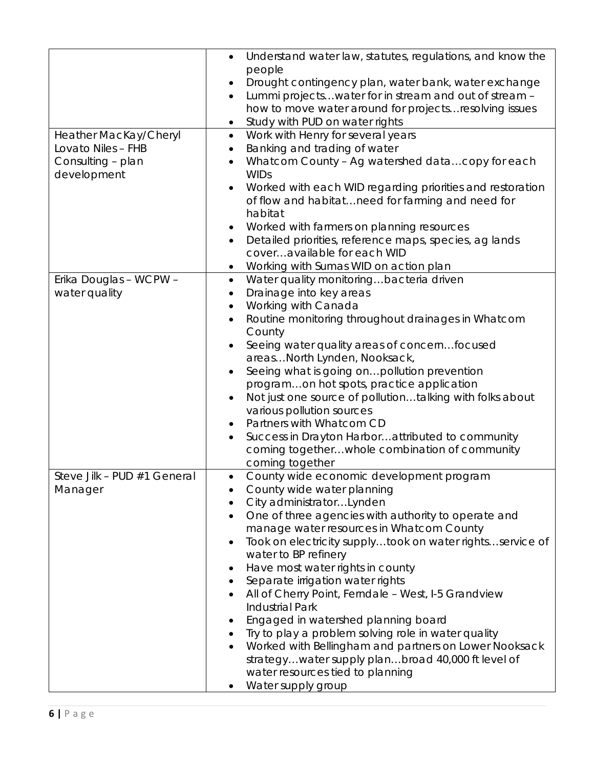|                                             | Understand water law, statutes, regulations, and know the<br>$\bullet$                                       |
|---------------------------------------------|--------------------------------------------------------------------------------------------------------------|
|                                             | people                                                                                                       |
|                                             | Drought contingency plan, water bank, water exchange                                                         |
|                                             | Lummi projectswater for in stream and out of stream -<br>$\bullet$                                           |
|                                             | how to move water around for projects resolving issues                                                       |
|                                             | Study with PUD on water rights                                                                               |
| Heather MacKay/Cheryl<br>Lovato Niles - FHB | Work with Henry for several years<br>$\bullet$<br>Banking and trading of water                               |
| Consulting - plan                           | $\bullet$<br>Whatcom County - Ag watershed datacopy for each<br>$\bullet$                                    |
| development                                 | <b>WIDs</b>                                                                                                  |
|                                             | Worked with each WID regarding priorities and restoration                                                    |
|                                             | of flow and habitatneed for farming and need for<br>habitat                                                  |
|                                             | Worked with farmers on planning resources                                                                    |
|                                             | Detailed priorities, reference maps, species, ag lands                                                       |
|                                             | coveravailable for each WID                                                                                  |
|                                             | Working with Sumas WID on action plan                                                                        |
| Erika Douglas - WCPW -                      | Water quality monitoringbacteria driven<br>$\bullet$                                                         |
| water quality                               | Drainage into key areas<br>$\bullet$                                                                         |
|                                             | Working with Canada<br>$\bullet$                                                                             |
|                                             | Routine monitoring throughout drainages in Whatcom                                                           |
|                                             | County                                                                                                       |
|                                             | Seeing water quality areas of concernfocused                                                                 |
|                                             | areasNorth Lynden, Nooksack,<br>Seeing what is going on pollution prevention                                 |
|                                             | programon hot spots, practice application                                                                    |
|                                             | Not just one source of pollutiontalking with folks about                                                     |
|                                             | various pollution sources                                                                                    |
|                                             | Partners with Whatcom CD                                                                                     |
|                                             | Success in Drayton Harborattributed to community                                                             |
|                                             | coming togetherwhole combination of community                                                                |
|                                             | coming together                                                                                              |
| Steve Jilk - PUD #1 General                 | County wide economic development program<br>$\bullet$                                                        |
| Manager                                     | County wide water planning                                                                                   |
|                                             | City administratorLynden                                                                                     |
|                                             | One of three agencies with authority to operate and<br>$\bullet$<br>manage water resources in Whatcom County |
|                                             | Took on electricity supplytook on water rightsservice of<br>$\bullet$                                        |
|                                             | water to BP refinery                                                                                         |
|                                             | Have most water rights in county<br>٠                                                                        |
|                                             | Separate irrigation water rights                                                                             |
|                                             | All of Cherry Point, Ferndale - West, I-5 Grandview<br>$\bullet$                                             |
|                                             | <b>Industrial Park</b>                                                                                       |
|                                             | Engaged in watershed planning board                                                                          |
|                                             | Try to play a problem solving role in water quality                                                          |
|                                             | Worked with Bellingham and partners on Lower Nooksack                                                        |
|                                             | strategywater supply planbroad 40,000 ft level of<br>water resources tied to planning                        |
|                                             | Water supply group                                                                                           |
|                                             |                                                                                                              |